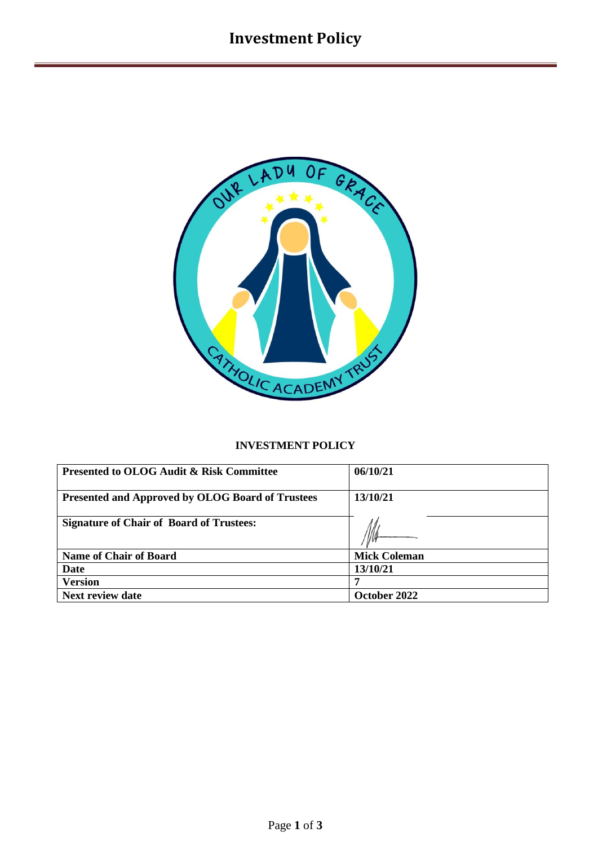

# **INVESTMENT POLICY**

| <b>Presented to OLOG Audit &amp; Risk Committee</b>     | 06/10/21            |
|---------------------------------------------------------|---------------------|
| <b>Presented and Approved by OLOG Board of Trustees</b> | 13/10/21            |
| <b>Signature of Chair of Board of Trustees:</b>         |                     |
| <b>Name of Chair of Board</b>                           | <b>Mick Coleman</b> |
| Date                                                    | 13/10/21            |
| <b>Version</b>                                          |                     |
| <b>Next review date</b>                                 | October 2022        |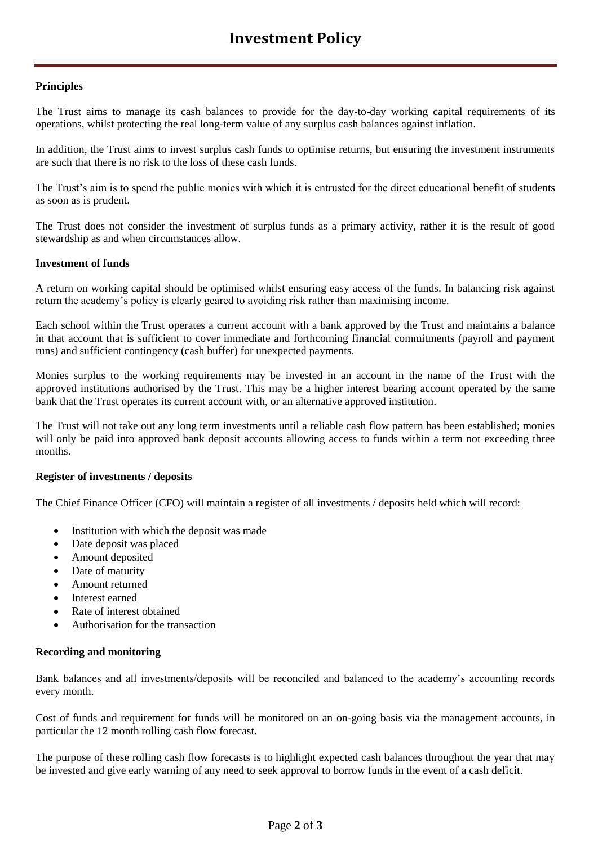## **Principles**

The Trust aims to manage its cash balances to provide for the day-to-day working capital requirements of its operations, whilst protecting the real long-term value of any surplus cash balances against inflation.

In addition, the Trust aims to invest surplus cash funds to optimise returns, but ensuring the investment instruments are such that there is no risk to the loss of these cash funds.

The Trust's aim is to spend the public monies with which it is entrusted for the direct educational benefit of students as soon as is prudent.

The Trust does not consider the investment of surplus funds as a primary activity, rather it is the result of good stewardship as and when circumstances allow.

### **Investment of funds**

A return on working capital should be optimised whilst ensuring easy access of the funds. In balancing risk against return the academy's policy is clearly geared to avoiding risk rather than maximising income.

Each school within the Trust operates a current account with a bank approved by the Trust and maintains a balance in that account that is sufficient to cover immediate and forthcoming financial commitments (payroll and payment runs) and sufficient contingency (cash buffer) for unexpected payments.

Monies surplus to the working requirements may be invested in an account in the name of the Trust with the approved institutions authorised by the Trust. This may be a higher interest bearing account operated by the same bank that the Trust operates its current account with, or an alternative approved institution.

The Trust will not take out any long term investments until a reliable cash flow pattern has been established; monies will only be paid into approved bank deposit accounts allowing access to funds within a term not exceeding three months.

### **Register of investments / deposits**

The Chief Finance Officer (CFO) will maintain a register of all investments / deposits held which will record:

- Institution with which the deposit was made
- Date deposit was placed
- Amount deposited
- Date of maturity
- Amount returned
- Interest earned
- Rate of interest obtained
- Authorisation for the transaction

#### **Recording and monitoring**

Bank balances and all investments/deposits will be reconciled and balanced to the academy's accounting records every month.

Cost of funds and requirement for funds will be monitored on an on-going basis via the management accounts, in particular the 12 month rolling cash flow forecast.

The purpose of these rolling cash flow forecasts is to highlight expected cash balances throughout the year that may be invested and give early warning of any need to seek approval to borrow funds in the event of a cash deficit.